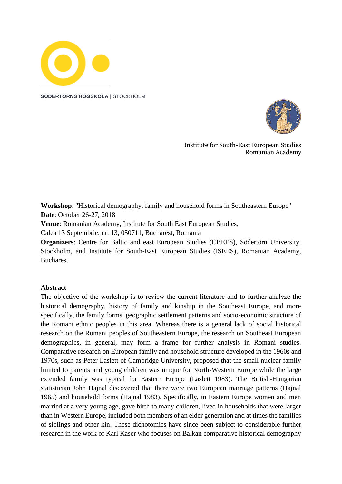

**SÖDERTÖRNS HÖGSKOLA** | STOCKHOLM



Institute for South-East European Studies Romanian Academy

**Workshop**: "Historical demography, family and household forms in Southeastern Europe" **Date**: October 26-27, 2018

**Venue**: Romanian Academy, Institute for South East European Studies,

Calea 13 Septembrie, nr. 13, 050711, Bucharest, Romania

**Organizers**: Centre for Baltic and east European Studies (CBEES), Södertörn University, Stockholm, and Institute for South-East European Studies (ISEES), Romanian Academy, **Bucharest** 

## **Abstract**

The objective of the workshop is to review the current literature and to further analyze the historical demography, history of family and kinship in the Southeast Europe, and more specifically, the family forms, geographic settlement patterns and socio-economic structure of the Romani ethnic peoples in this area. Whereas there is a general lack of social historical research on the Romani peoples of Southeastern Europe, the research on Southeast European demographics, in general, may form a frame for further analysis in Romani studies. Comparative research on European family and household structure developed in the 1960s and 1970s, such as Peter Laslett of Cambridge University, proposed that the small nuclear family limited to parents and young children was unique for North-Western Europe while the large extended family was typical for Eastern Europe (Laslett 1983). The British-Hungarian statistician John Hajnal discovered that there were two European marriage patterns (Hajnal 1965) and household forms (Hajnal 1983). Specifically, in Eastern Europe women and men married at a very young age, gave birth to many children, lived in households that were larger than in Western Europe, included both members of an elder generation and at times the families of siblings and other kin. These dichotomies have since been subject to considerable further research in the work of Karl Kaser who focuses on Balkan comparative historical demography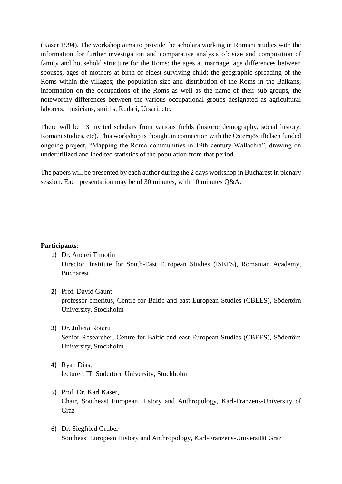(Kaser 1994). The workshop aims to provide the scholars working in Romani studies with the information for further investigation and comparative analysis of: size and composition of family and household structure for the Roms; the ages at marriage, age differences between spouses, ages of mothers at birth of eldest surviving child; the geographic spreading of the Roms within the villages; the population size and distribution of the Roms in the Balkans; information on the occupations of the Roms as well as the name of their sub-groups, the noteworthy differences between the various occupational groups designated as agricultural laborers, musicians, smiths, Rudari, Ursari, etc.

There will be 13 invited scholars from various fields (historic demography, social history, Romani studies, etc). This workshop is thought in connection with the Östersjöstiftelsen funded ongoing project, "Mapping the Roma communities in 19th century Wallachia", drawing on underutilized and inedited statistics of the population from that period.

The papers will be presented by each author during the 2 days workshop in Bucharest in plenary session. Each presentation may be of 30 minutes, with 10 minutes Q&A.

## **Participants**:

- 1) Dr. Andrei Timotin Director, Institute for South-East European Studies (ISEES), Romanian Academy, Bucharest
- 2) Prof. David Gaunt professor emeritus, Centre for Baltic and east European Studies (CBEES), Södertörn University, Stockholm
- 3) Dr. Julieta Rotaru Senior Researcher, Centre for Baltic and east European Studies (CBEES), Södertörn University, Stockholm
- 4) Ryan Dias, lecturer, IT, Södertörn University, Stockholm
- 5) Prof. Dr. Karl Kaser, Chair, Southeast European History and Anthropology, Karl-Franzens-University of Graz
- 6) Dr. Siegfried Gruber Southeast European History and Anthropology, Karl-Franzens-Universität Graz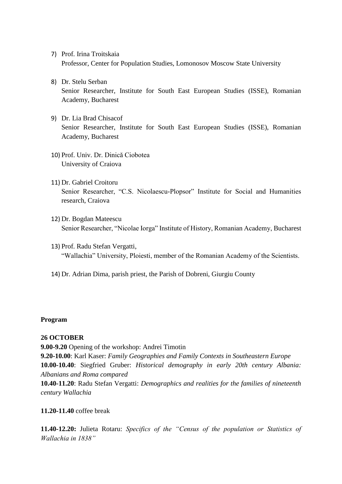- 7) Prof. Irina Troitskaia Professor, Center for Population Studies, Lomonosov Moscow State University
- 8) Dr. Stelu Serban Senior Researcher, Institute for South East European Studies (ISSE), Romanian Academy, Bucharest
- 9) Dr. Lia Brad Chisacof Senior Researcher, Institute for South East European Studies (ISSE), Romanian Academy, Bucharest
- 10) Prof. Univ. Dr. Dinică Ciobotea University of Craiova
- 11) Dr. Gabriel Croitoru Senior Researcher, "C.S. Nicolaescu-Plopsor" Institute for Social and Humanities research, Craiova
- 12) Dr. Bogdan Mateescu Senior Researcher, "Nicolae Iorga" Institute of History, Romanian Academy, Bucharest
- 13) Prof. Radu Stefan Vergatti, "Wallachia" University, Ploiesti, member of the Romanian Academy of the Scientists.
- 14) Dr. Adrian Dima, parish priest, the Parish of Dobreni, Giurgiu County

## **Program**

## **26 OCTOBER**

**9.00-9.20** Opening of the workshop: Andrei Timotin

**9.20-10.00**: Karl Kaser: *Family Geographies and Family Contexts in Southeastern Europe* **10.00-10.40**: Siegfried Gruber: *Historical demography in early 20th century Albania: Albanians and Roma compared*

**10.40-11.20**: Radu Stefan Vergatti: *Demographics and realities for the families of nineteenth century Wallachia*

## **11.20-11.40** coffee break

**11.40-12.20:** Julieta Rotaru: *Specifics of the "Census of the population or Statistics of Wallachia in 1838"*